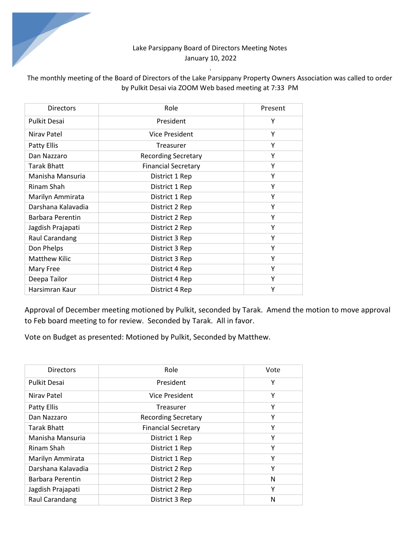## Lake Parsippany Board of Directors Meeting Notes January 10, 2022

# The monthly meeting of the Board of Directors of the Lake Parsippany Property Owners Association was called to order by Pulkit Desai via ZOOM Web based meeting at 7:33 PM

*.* 

| <b>Directors</b>     | Role                       | Present |
|----------------------|----------------------------|---------|
| <b>Pulkit Desai</b>  | President                  | Y       |
| Niray Patel          | Vice President             | Υ       |
| Patty Ellis          | Treasurer                  | Υ       |
| Dan Nazzaro          | <b>Recording Secretary</b> | Υ       |
| <b>Tarak Bhatt</b>   | <b>Financial Secretary</b> | Υ       |
| Manisha Mansuria     | District 1 Rep             | Υ       |
| Rinam Shah           | District 1 Rep             | Υ       |
| Marilyn Ammirata     | District 1 Rep             | Υ       |
| Darshana Kalavadia   | District 2 Rep             | Υ       |
| Barbara Perentin     | District 2 Rep             | Y       |
| Jagdish Prajapati    | District 2 Rep             | Υ       |
| Raul Carandang       | District 3 Rep             | Υ       |
| Don Phelps           | District 3 Rep             | Υ       |
| <b>Matthew Kilic</b> | District 3 Rep             | Y       |
| Mary Free            | District 4 Rep             | Υ       |
| Deepa Tailor         | District 4 Rep             | Υ       |
| Harsimran Kaur       | District 4 Rep             | Υ       |

Approval of December meeting motioned by Pulkit, seconded by Tarak. Amend the motion to move approval to Feb board meeting to for review. Seconded by Tarak. All in favor.

Vote on Budget as presented: Motioned by Pulkit, Seconded by Matthew.

| <b>Directors</b>    | Role                       | Vote |
|---------------------|----------------------------|------|
| <b>Pulkit Desai</b> | President                  | Υ    |
| Niray Patel         | Vice President             | Υ    |
| Patty Ellis         | Treasurer                  | Υ    |
| Dan Nazzaro         | <b>Recording Secretary</b> | Υ    |
| <b>Tarak Bhatt</b>  | <b>Financial Secretary</b> | Υ    |
| Manisha Mansuria    | District 1 Rep             | Υ    |
| Rinam Shah          | District 1 Rep             | Υ    |
| Marilyn Ammirata    | District 1 Rep             | Υ    |
| Darshana Kalavadia  | District 2 Rep             | Υ    |
| Barbara Perentin    | District 2 Rep             | N    |
| Jagdish Prajapati   | District 2 Rep             | Υ    |
| Raul Carandang      | District 3 Rep             | N    |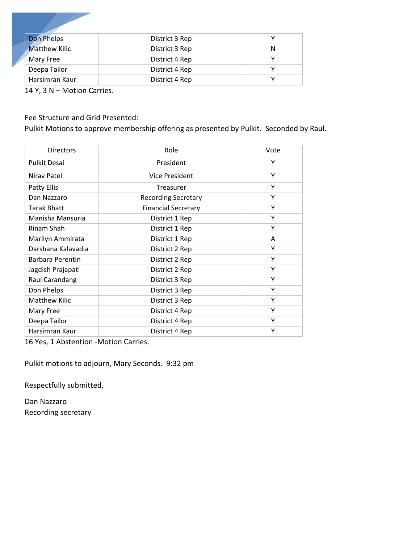| Don Phelps           | District 3 Rep |   |
|----------------------|----------------|---|
| <b>Matthew Kilic</b> | District 3 Rep | N |
| Mary Free            | District 4 Rep |   |
| Deepa Tailor         | District 4 Rep |   |
| Harsimran Kaur       | District 4 Rep |   |

14 Y, 3 N – Motion Carries.

## Fee Structure and Grid Presented:

Pulkit Motions to approve membership offering as presented by Pulkit. Seconded by Raul.

| <b>Directors</b>     | Role                       | Vote |
|----------------------|----------------------------|------|
| <b>Pulkit Desai</b>  | President                  | Υ    |
| Nirav Patel          | Vice President             | Y    |
| Patty Ellis          | Treasurer                  | Υ    |
| Dan Nazzaro          | <b>Recording Secretary</b> | Υ    |
| Tarak Bhatt          | <b>Financial Secretary</b> | Υ    |
| Manisha Mansuria     | District 1 Rep             | Υ    |
| Rinam Shah           | District 1 Rep             | Υ    |
| Marilyn Ammirata     | District 1 Rep             | A    |
| Darshana Kalavadia   | District 2 Rep             | Υ    |
| Barbara Perentin     | District 2 Rep             | Υ    |
| Jagdish Prajapati    | District 2 Rep             | Υ    |
| Raul Carandang       | District 3 Rep             | Υ    |
| Don Phelps           | District 3 Rep             | Υ    |
| <b>Matthew Kilic</b> | District 3 Rep             | Υ    |
| Mary Free            | District 4 Rep             | Υ    |
| Deepa Tailor         | District 4 Rep             | Υ    |
| Harsimran Kaur       | District 4 Rep             | Υ    |

16 Yes, 1 Abstention -Motion Carries.

Pulkit motions to adjourn, Mary Seconds. 9:32 pm

Respectfully submitted,

Dan Nazzaro Recording secretary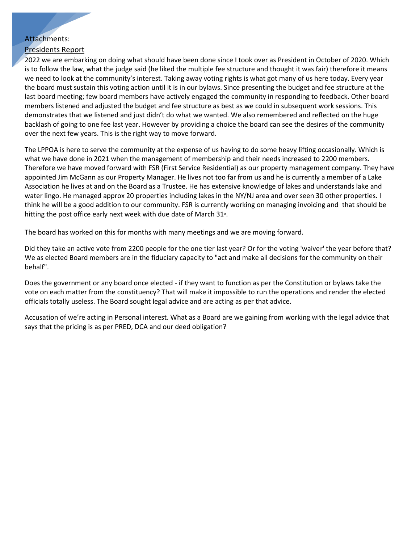## Attachments:

### Presidents Report

2022 we are embarking on doing what should have been done since I took over as President in October of 2020. Which is to follow the law, what the judge said (he liked the multiple fee structure and thought it was fair) therefore it means we need to look at the community's interest. Taking away voting rights is what got many of us here today. Every year the board must sustain this voting action until it is in our bylaws. Since presenting the budget and fee structure at the last board meeting; few board members have actively engaged the community in responding to feedback. Other board members listened and adjusted the budget and fee structure as best as we could in subsequent work sessions. This demonstrates that we listened and just didn't do what we wanted. We also remembered and reflected on the huge backlash of going to one fee last year. However by providing a choice the board can see the desires of the community over the next few years. This is the right way to move forward.

The LPPOA is here to serve the community at the expense of us having to do some heavy lifting occasionally. Which is what we have done in 2021 when the management of membership and their needs increased to 2200 members. Therefore we have moved forward with FSR (First Service Residential) as our property management company. They have appointed Jim McGann as our Property Manager. He lives not too far from us and he is currently a member of a Lake Association he lives at and on the Board as a Trustee. He has extensive knowledge of lakes and understands lake and water lingo. He managed approx 20 properties including lakes in the NY/NJ area and over seen 30 other properties. I think he will be a good addition to our community. FSR is currently working on managing invoicing and that should be hitting the post office early next week with due date of March 31<sup>\*</sup>.

The board has worked on this for months with many meetings and we are moving forward.

Did they take an active vote from 2200 people for the one tier last year? Or for the voting 'waiver' the year before that? We as elected Board members are in the fiduciary capacity to "act and make all decisions for the community on their behalf".

Does the government or any board once elected - if they want to function as per the Constitution or bylaws take the vote on each matter from the constituency? That will make it impossible to run the operations and render the elected officials totally useless. The Board sought legal advice and are acting as per that advice.

Accusation of we're acting in Personal interest. What as a Board are we gaining from working with the legal advice that says that the pricing is as per PRED, DCA and our deed obligation?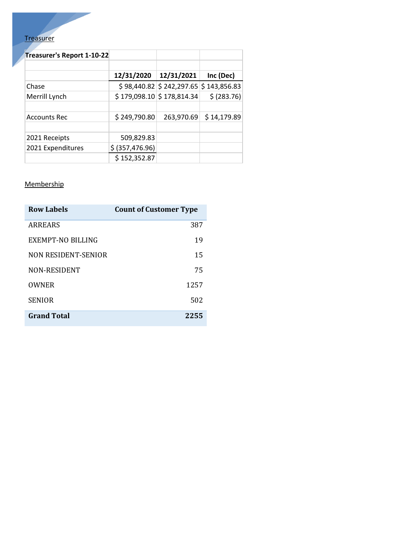# **Treasurer**

| Treasurer's Report 1-10-22 |                  |                                |              |
|----------------------------|------------------|--------------------------------|--------------|
|                            | 12/31/2020       | 12/31/2021                     | Inc (Dec)    |
| Chase                      |                  | $$98,440.82 \mid $242,297.65$  | \$143,856.83 |
| Merrill Lynch              |                  | $$179,098.10 \s$ $$178,814.34$ | \$ (283.76)  |
| <b>Accounts Rec</b>        | \$249,790.80     | 263,970.69                     | \$14,179.89  |
| 2021 Receipts              | 509,829.83       |                                |              |
| 2021 Expenditures          | \$ (357, 476.96) |                                |              |
|                            | \$152,352.87     |                                |              |

### **Membership**

| <b>Row Labels</b>   | <b>Count of Customer Type</b> |
|---------------------|-------------------------------|
| ARREARS             | 387                           |
| EXEMPT-NO BILLING   | 19                            |
| NON RESIDENT-SENIOR | 15                            |
| NON-RESIDENT        | 75                            |
| OWNER               | 1257                          |
| <b>SENIOR</b>       | 502                           |
| <b>Grand Total</b>  | 2255                          |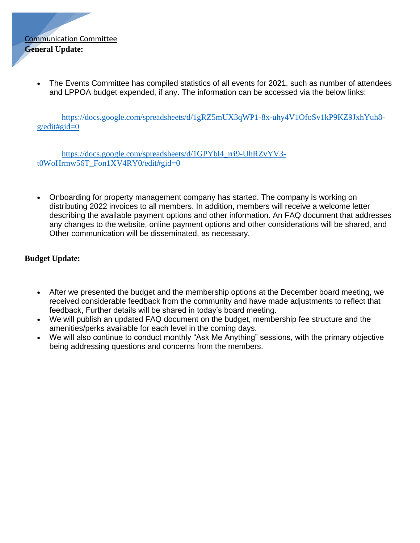

• The Events Committee has compiled statistics of all events for 2021, such as number of attendees and LPPOA budget expended, if any. The information can be accessed via the below links:

[https://docs.google.com/spreadsheets/d/1gRZ5mUX3qWP1-8x-uhy4V1OfoSv1kP9KZ9JxhYuh8](https://docs.google.com/spreadsheets/d/1gRZ5mUX3qWP1-8x-uhy4V1OfoSv1kP9KZ9JxhYuh8-g/edit#gid=0)  $g$ /edit#gid=0

[https://docs.google.com/spreadsheets/d/1GPYbl4\\_rri9-UhRZvYV3](https://docs.google.com/spreadsheets/d/1GPYbl4_rri9-UhRZvYV3-t0WoHrmw56T_Fon1XV4RY0/edit#gid=0) [t0WoHrmw56T\\_Fon1XV4RY0/edit#gid=0](https://docs.google.com/spreadsheets/d/1GPYbl4_rri9-UhRZvYV3-t0WoHrmw56T_Fon1XV4RY0/edit#gid=0)

• Onboarding for property management company has started. The company is working on distributing 2022 invoices to all members. In addition, members will receive a welcome letter describing the available payment options and other information. An FAQ document that addresses any changes to the website, online payment options and other considerations will be shared, and Other communication will be disseminated, as necessary.

## **Budget Update:**

- After we presented the budget and the membership options at the December board meeting, we received considerable feedback from the community and have made adjustments to reflect that feedback, Further details will be shared in today's board meeting.
- We will publish an updated FAQ document on the budget, membership fee structure and the amenities/perks available for each level in the coming days.
- We will also continue to conduct monthly "Ask Me Anything" sessions, with the primary objective being addressing questions and concerns from the members.